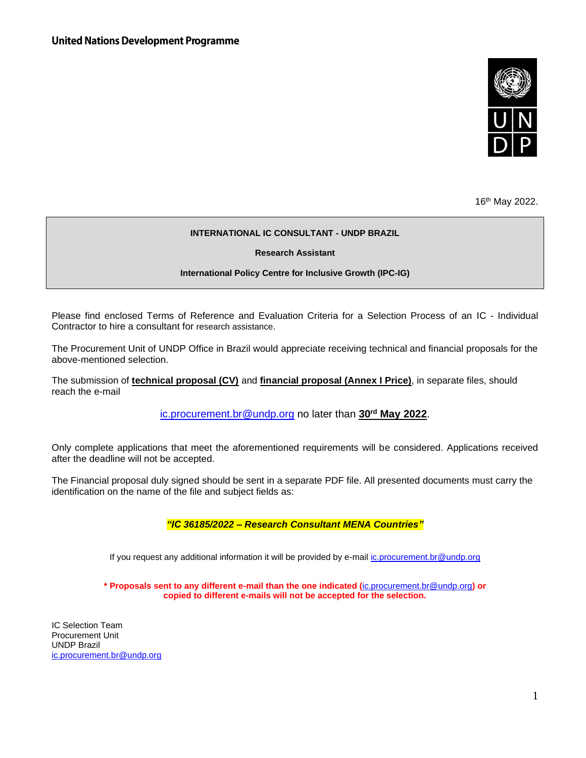

16th May 2022.

#### **INTERNATIONAL IC CONSULTANT - UNDP BRAZIL**

**Research Assistant**

#### **International Policy Centre for Inclusive Growth (IPC-IG)**

Please find enclosed Terms of Reference and Evaluation Criteria for a Selection Process of an IC - Individual Contractor to hire a consultant for research assistance.

The Procurement Unit of UNDP Office in Brazil would appreciate receiving technical and financial proposals for the above-mentioned selection.

The submission of **technical proposal (CV)** and **financial proposal (Annex I Price)**, in separate files, should reach the e-mail

[ic.procurement.br@undp.org](mailto:ic.procurement.br@undp.org) no later than **30rd May 2022**.

Only complete applications that meet the aforementioned requirements will be considered. Applications received after the deadline will not be accepted.

The Financial proposal duly signed should be sent in a separate PDF file. All presented documents must carry the identification on the name of the file and subject fields as:

*"IC 36185/2022 – Research Consultant MENA Countries"*

If you request any additional information it will be provided by e-mail *ic.procurement.br@undp.org* 

**\* Proposals sent to any different e-mail than the one indicated (**[ic.procurement.br@undp.org](mailto:ic.procurement.br@undp.org)**) or copied to different e-mails will not be accepted for the selection.**

IC Selection Team Procurement Unit UNDP Brazil [ic.procurement.br@undp.org](mailto:ic.procurement.br@undp.org)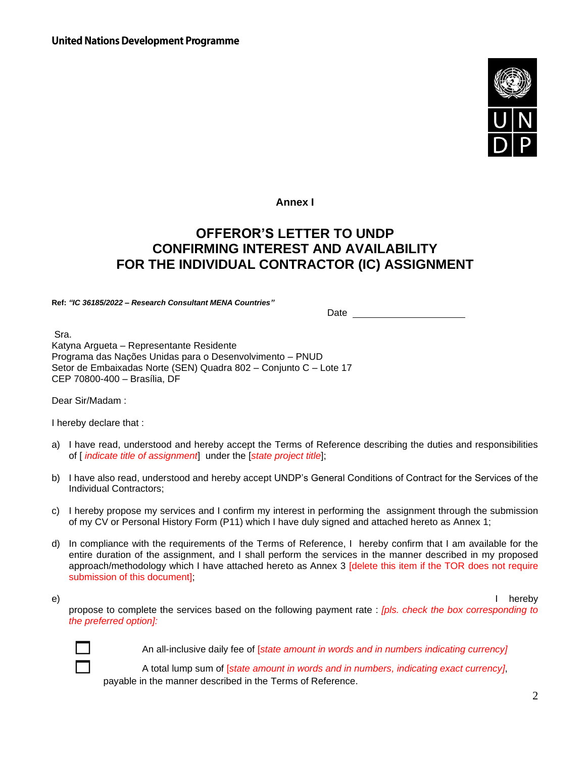

**Annex I** 

# **OFFEROR'S LETTER TO UNDP CONFIRMING INTEREST AND AVAILABILITY FOR THE INDIVIDUAL CONTRACTOR (IC) ASSIGNMENT**

**Ref:** *"IC 36185/2022 – Research Consultant MENA Countries"*

Date

Sra.

Katyna Argueta – Representante Residente Programa das Nações Unidas para o Desenvolvimento – PNUD Setor de Embaixadas Norte (SEN) Quadra 802 – Conjunto C – Lote 17 CEP 70800-400 – Brasília, DF

Dear Sir/Madam :

I hereby declare that :

- a) I have read, understood and hereby accept the Terms of Reference describing the duties and responsibilities of [ *indicate title of assignment*] under the [*state project title*];
- b) I have also read, understood and hereby accept UNDP's General Conditions of Contract for the Services of the Individual Contractors;
- c) I hereby propose my services and I confirm my interest in performing the assignment through the submission of my CV or Personal History Form (P11) which I have duly signed and attached hereto as Annex 1;
- d) In compliance with the requirements of the Terms of Reference, I hereby confirm that I am available for the entire duration of the assignment, and I shall perform the services in the manner described in my proposed approach/methodology which I have attached hereto as Annex 3 [delete this item if the TOR does not require submission of this document];

e) I hereby

propose to complete the services based on the following payment rate : *[pls. check the box corresponding to the preferred option]:*



An all-inclusive daily fee of [*state amount in words and in numbers indicating currency]*

 <sup>A</sup> total lump sum of [*state amount in words and in numbers, indicating exact currency]*, payable in the manner described in the Terms of Reference.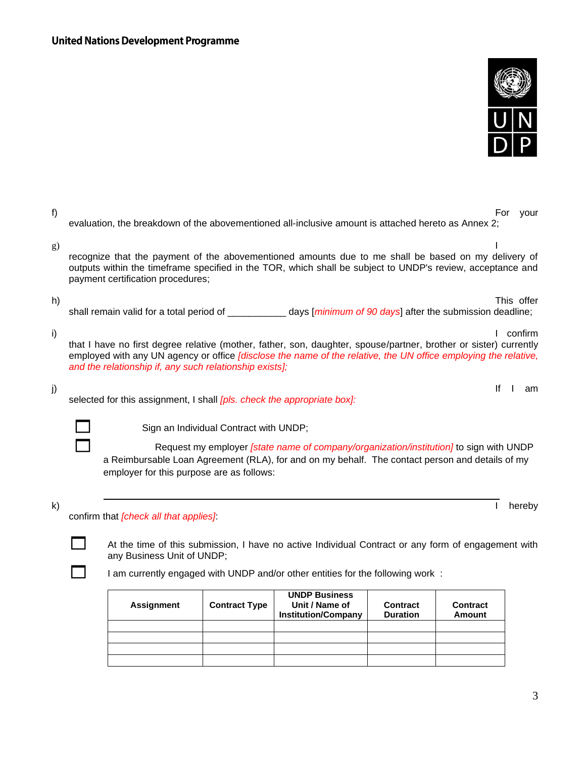

| f) | For<br>your<br>evaluation, the breakdown of the abovementioned all-inclusive amount is attached hereto as Annex 2;                                                                                                                                                                                         |
|----|------------------------------------------------------------------------------------------------------------------------------------------------------------------------------------------------------------------------------------------------------------------------------------------------------------|
| g) | recognize that the payment of the abovementioned amounts due to me shall be based on my delivery of<br>outputs within the timeframe specified in the TOR, which shall be subject to UNDP's review, acceptance and<br>payment certification procedures;                                                     |
| h) | This offer<br>shall remain valid for a total period of ____________ days [minimum of 90 days] after the submission deadline;                                                                                                                                                                               |
| i) | confirm<br>that I have no first degree relative (mother, father, son, daughter, spouse/partner, brother or sister) currently<br>employed with any UN agency or office [disclose the name of the relative, the UN office employing the relative,<br>and the relationship if, any such relationship exists]; |
| j) | lf<br>am<br>selected for this assignment, I shall <i>[pls. check the appropriate box]</i> :                                                                                                                                                                                                                |
|    | Sign an Individual Contract with UNDP;                                                                                                                                                                                                                                                                     |
|    | Request my employer <i>[state name of company/organization/institution]</i> to sign with UNDP<br>a Reimbursable Loan Agreement (RLA), for and on my behalf. The contact person and details of my                                                                                                           |
|    | employer for this purpose are as follows:                                                                                                                                                                                                                                                                  |

At the time of this submission, I have no active Individual Contract or any form of engagement with any Business Unit of UNDP;

I am currently engaged with UNDP and/or other entities for the following work :

| Assignment | <b>Contract Type</b> | <b>UNDP Business</b><br>Unit / Name of<br><b>Institution/Company</b> | <b>Contract</b><br><b>Duration</b> | <b>Contract</b><br><b>Amount</b> |
|------------|----------------------|----------------------------------------------------------------------|------------------------------------|----------------------------------|
|            |                      |                                                                      |                                    |                                  |
|            |                      |                                                                      |                                    |                                  |
|            |                      |                                                                      |                                    |                                  |
|            |                      |                                                                      |                                    |                                  |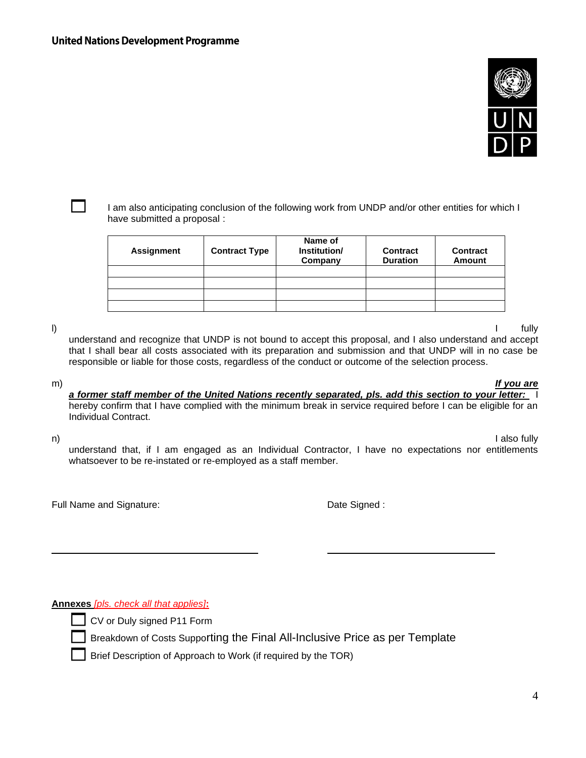

 I am also anticipating conclusion of the following work from UNDP and/or other entities for which <sup>I</sup> have submitted a proposal :

| Assignment | <b>Contract Type</b> | Name of<br>Institution/<br>Company | <b>Contract</b><br><b>Duration</b> | <b>Contract</b><br><b>Amount</b> |
|------------|----------------------|------------------------------------|------------------------------------|----------------------------------|
|            |                      |                                    |                                    |                                  |
|            |                      |                                    |                                    |                                  |
|            |                      |                                    |                                    |                                  |
|            |                      |                                    |                                    |                                  |

l) I fully

understand and recognize that UNDP is not bound to accept this proposal, and I also understand and accept that I shall bear all costs associated with its preparation and submission and that UNDP will in no case be responsible or liable for those costs, regardless of the conduct or outcome of the selection process.

m) *If you are a former staff member of the United Nations recently separated, pls. add this section to your letter:* I hereby confirm that I have complied with the minimum break in service required before I can be eligible for an Individual Contract.

n) I also fully understand that, if I am engaged as an Individual Contractor, I have no expectations nor entitlements whatsoever to be re-instated or re-employed as a staff member.

Full Name and Signature: The Signature of the Signature of the Signature of the Signature of the Signature of the Signature of the Signature of the Signature of the Signature of the Signature of the Signature of the Signat

**Annexes** *[pls. check all that applies]***:**

CV or Duly signed P11 Form

Breakdown of Costs Supporting the Final All-Inclusive Price as per Template

Brief Description of Approach to Work (if required by the TOR)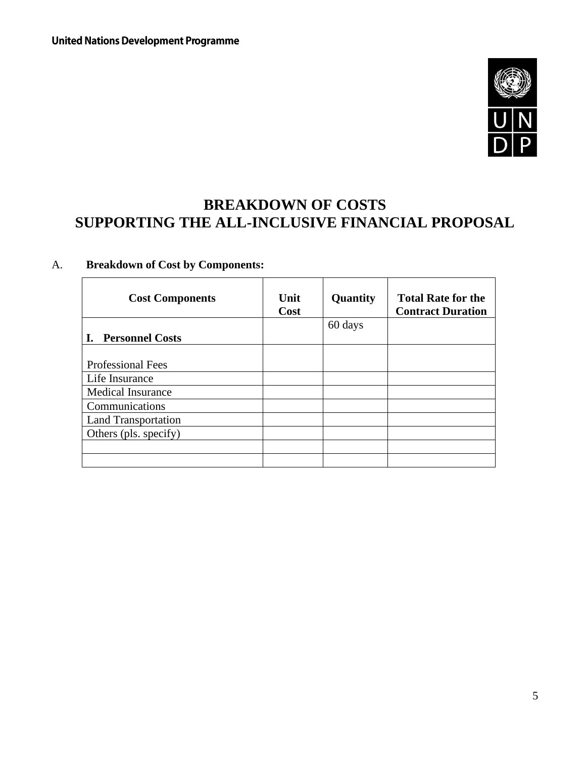

# **BREAKDOWN OF COSTS SUPPORTING THE ALL-INCLUSIVE FINANCIAL PROPOSAL**

# A. **Breakdown of Cost by Components:**

| <b>Cost Components</b>     | Unit<br>Cost | Quantity | <b>Total Rate for the</b><br><b>Contract Duration</b> |
|----------------------------|--------------|----------|-------------------------------------------------------|
| <b>Personnel Costs</b>     |              | 60 days  |                                                       |
|                            |              |          |                                                       |
| <b>Professional Fees</b>   |              |          |                                                       |
| Life Insurance             |              |          |                                                       |
| <b>Medical Insurance</b>   |              |          |                                                       |
| Communications             |              |          |                                                       |
| <b>Land Transportation</b> |              |          |                                                       |
| Others (pls. specify)      |              |          |                                                       |
|                            |              |          |                                                       |
|                            |              |          |                                                       |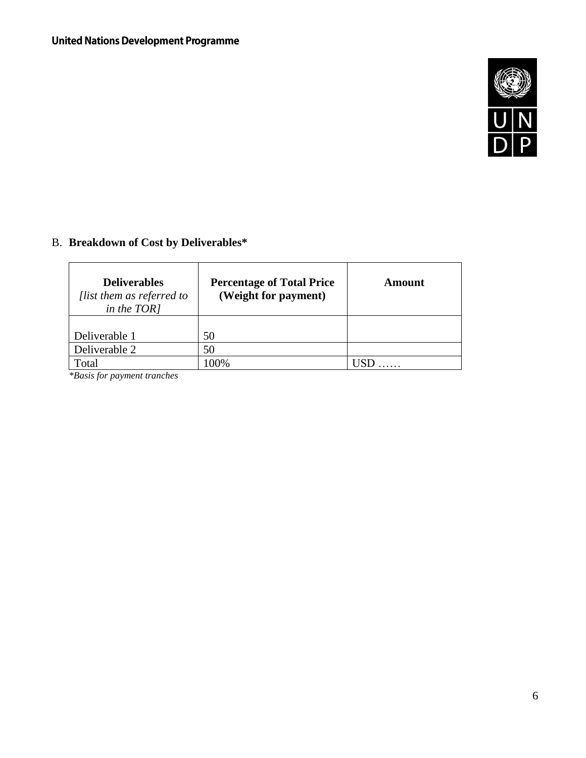

# B. **Breakdown of Cost by Deliverables\***

| <b>Deliverables</b><br>[list them as referred to<br>in the TOR] | <b>Percentage of Total Price</b><br>(Weight for payment) | Amount |
|-----------------------------------------------------------------|----------------------------------------------------------|--------|
| Deliverable 1                                                   | 50                                                       |        |
| Deliverable 2                                                   | 50                                                       |        |
| Total                                                           | 100%                                                     |        |

*\*Basis for payment tranches*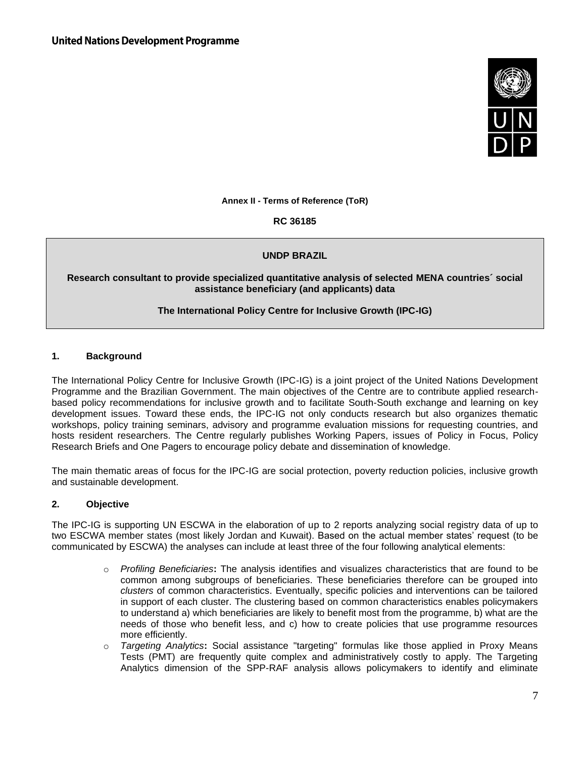

**Annex II - Terms of Reference (ToR)** 

**RC 36185**

# **UNDP BRAZIL**

#### **Research consultant to provide specialized quantitative analysis of selected MENA countries´ social assistance beneficiary (and applicants) data**

# **The International Policy Centre for Inclusive Growth (IPC-IG)**

## **1. Background**

The International Policy Centre for Inclusive Growth (IPC-IG) is a joint project of the United Nations Development Programme and the Brazilian Government. The main objectives of the Centre are to contribute applied researchbased policy recommendations for inclusive growth and to facilitate South-South exchange and learning on key development issues. Toward these ends, the IPC-IG not only conducts research but also organizes thematic workshops, policy training seminars, advisory and programme evaluation missions for requesting countries, and hosts resident researchers. The Centre regularly publishes Working Papers, issues of Policy in Focus, Policy Research Briefs and One Pagers to encourage policy debate and dissemination of knowledge.

The main thematic areas of focus for the IPC-IG are social protection, poverty reduction policies, inclusive growth and sustainable development.

#### **2. Objective**

The IPC-IG is supporting UN ESCWA in the elaboration of up to 2 reports analyzing social registry data of up to two ESCWA member states (most likely Jordan and Kuwait). Based on the actual member states' request (to be communicated by ESCWA) the analyses can include at least three of the four following analytical elements:

- o *Profiling Beneficiaries***:** The analysis identifies and visualizes characteristics that are found to be common among subgroups of beneficiaries. These beneficiaries therefore can be grouped into *clusters* of common characteristics. Eventually, specific policies and interventions can be tailored in support of each cluster. The clustering based on common characteristics enables policymakers to understand a) which beneficiaries are likely to benefit most from the programme, b) what are the needs of those who benefit less, and c) how to create policies that use programme resources more efficiently.
- o *Targeting Analytics***:** Social assistance "targeting" formulas like those applied in Proxy Means Tests (PMT) are frequently quite complex and administratively costly to apply. The Targeting Analytics dimension of the SPP-RAF analysis allows policymakers to identify and eliminate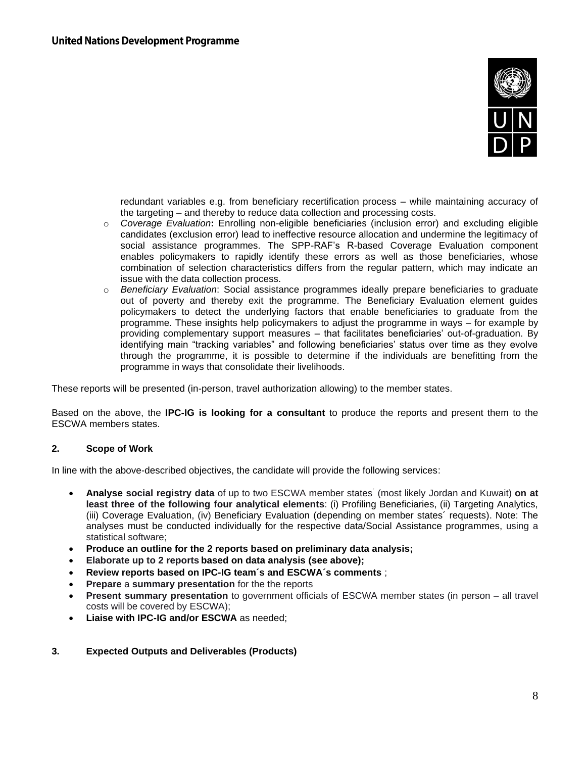

redundant variables e.g. from beneficiary recertification process – while maintaining accuracy of the targeting – and thereby to reduce data collection and processing costs.

- o *Coverage Evaluation***:** Enrolling non-eligible beneficiaries (inclusion error) and excluding eligible candidates (exclusion error) lead to ineffective resource allocation and undermine the legitimacy of social assistance programmes. The SPP-RAF's R-based Coverage Evaluation component enables policymakers to rapidly identify these errors as well as those beneficiaries, whose combination of selection characteristics differs from the regular pattern, which may indicate an issue with the data collection process.
- o *Beneficiary Evaluation*: Social assistance programmes ideally prepare beneficiaries to graduate out of poverty and thereby exit the programme. The Beneficiary Evaluation element guides policymakers to detect the underlying factors that enable beneficiaries to graduate from the programme. These insights help policymakers to adjust the programme in ways – for example by providing complementary support measures – that facilitates beneficiaries' out-of-graduation. By identifying main "tracking variables" and following beneficiaries' status over time as they evolve through the programme, it is possible to determine if the individuals are benefitting from the programme in ways that consolidate their livelihoods.

These reports will be presented (in-person, travel authorization allowing) to the member states.

Based on the above, the **IPC-IG is looking for a consultant** to produce the reports and present them to the ESCWA members states.

#### **2. Scope of Work**

In line with the above-described objectives, the candidate will provide the following services:

- **Analyse social registry data** of up to two ESCWA member states´ (most likely Jordan and Kuwait) **on at least three of the following four analytical elements**: (i) Profiling Beneficiaries, (ii) Targeting Analytics, (iii) Coverage Evaluation, (iv) Beneficiary Evaluation (depending on member states´ requests). Note: The analyses must be conducted individually for the respective data/Social Assistance programmes, using a statistical software;
- **Produce an outline for the 2 reports based on preliminary data analysis;**
- **Elaborate up to 2 reports based on data analysis (see above);**
- **Review reports based on IPC-IG team´s and ESCWA´s comments** ;
- **Prepare** a **summary presentation** for the the reports
- **Present summary presentation** to government officials of ESCWA member states (in person all travel costs will be covered by ESCWA);
- **Liaise with IPC-IG and/or ESCWA** as needed;
- **3. Expected Outputs and Deliverables (Products)**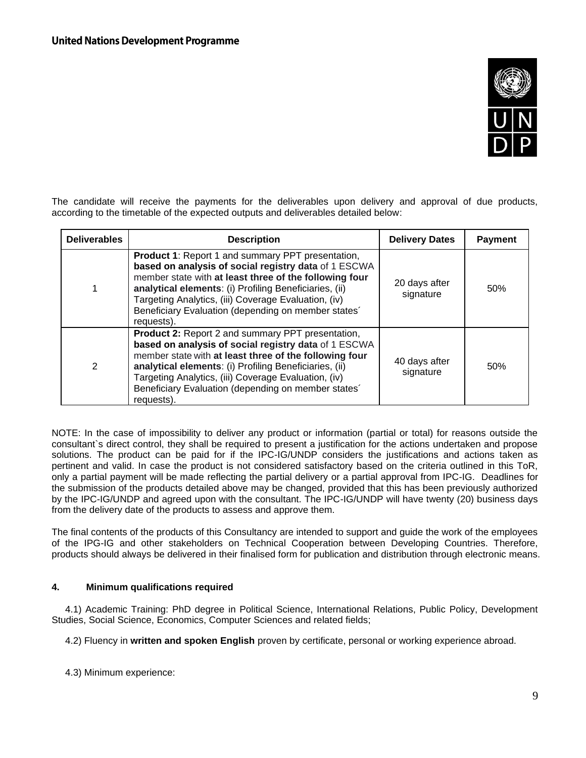

The candidate will receive the payments for the deliverables upon delivery and approval of due products, according to the timetable of the expected outputs and deliverables detailed below:

| <b>Deliverables</b> | <b>Description</b>                                                                                                                                                                                                                                                                                                                                         | <b>Delivery Dates</b>      | <b>Payment</b> |
|---------------------|------------------------------------------------------------------------------------------------------------------------------------------------------------------------------------------------------------------------------------------------------------------------------------------------------------------------------------------------------------|----------------------------|----------------|
|                     | Product 1: Report 1 and summary PPT presentation,<br>based on analysis of social registry data of 1 ESCWA<br>member state with at least three of the following four<br>analytical elements: (i) Profiling Beneficiaries, (ii)<br>Targeting Analytics, (iii) Coverage Evaluation, (iv)<br>Beneficiary Evaluation (depending on member states'<br>requests). | 20 days after<br>signature | 50%            |
| $\mathcal{P}$       | Product 2: Report 2 and summary PPT presentation,<br>based on analysis of social registry data of 1 ESCWA<br>member state with at least three of the following four<br>analytical elements: (i) Profiling Beneficiaries, (ii)<br>Targeting Analytics, (iii) Coverage Evaluation, (iv)<br>Beneficiary Evaluation (depending on member states'<br>requests). | 40 days after<br>signature | 50%            |

NOTE: In the case of impossibility to deliver any product or information (partial or total) for reasons outside the consultant`s direct control, they shall be required to present a justification for the actions undertaken and propose solutions. The product can be paid for if the IPC-IG/UNDP considers the justifications and actions taken as pertinent and valid. In case the product is not considered satisfactory based on the criteria outlined in this ToR, only a partial payment will be made reflecting the partial delivery or a partial approval from IPC-IG. Deadlines for the submission of the products detailed above may be changed, provided that this has been previously authorized by the IPC-IG/UNDP and agreed upon with the consultant. The IPC-IG/UNDP will have twenty (20) business days from the delivery date of the products to assess and approve them.

The final contents of the products of this Consultancy are intended to support and guide the work of the employees of the IPG-IG and other stakeholders on Technical Cooperation between Developing Countries. Therefore, products should always be delivered in their finalised form for publication and distribution through electronic means.

# **4. Minimum qualifications required**

4.1) Academic Training: PhD degree in Political Science, International Relations, Public Policy, Development Studies, Social Science, Economics, Computer Sciences and related fields;

4.2) Fluency in **written and spoken English** proven by certificate, personal or working experience abroad.

4.3) Minimum experience: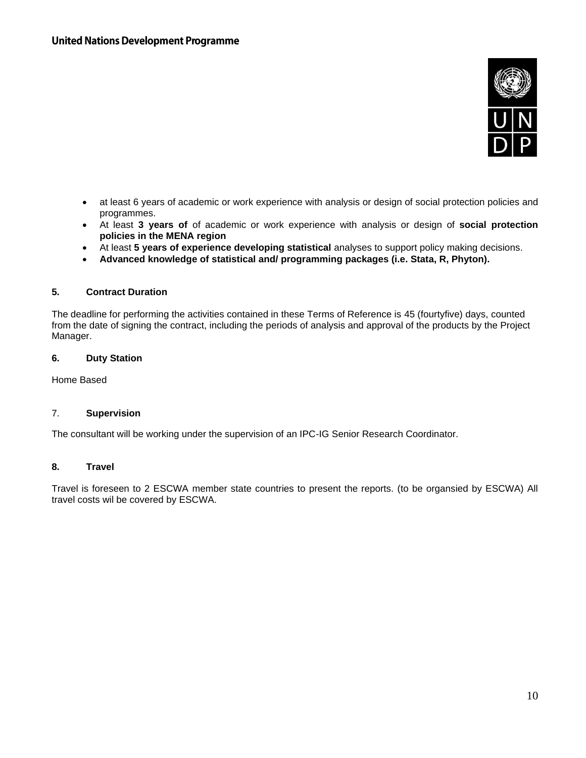

- at least 6 years of academic or work experience with analysis or design of social protection policies and programmes.
- At least **3 years of** of academic or work experience with analysis or design of **social protection policies in the MENA region**
- At least **5 years of experience developing statistical** analyses to support policy making decisions.
- **Advanced knowledge of statistical and/ programming packages (i.e. Stata, R, Phyton).**

### **5. Contract Duration**

The deadline for performing the activities contained in these Terms of Reference is 45 (fourtyfive) days, counted from the date of signing the contract, including the periods of analysis and approval of the products by the Project Manager.

## **6. Duty Station**

Home Based

#### 7. **Supervision**

The consultant will be working under the supervision of an IPC-IG Senior Research Coordinator.

#### **8. Travel**

Travel is foreseen to 2 ESCWA member state countries to present the reports. (to be organsied by ESCWA) All travel costs wil be covered by ESCWA.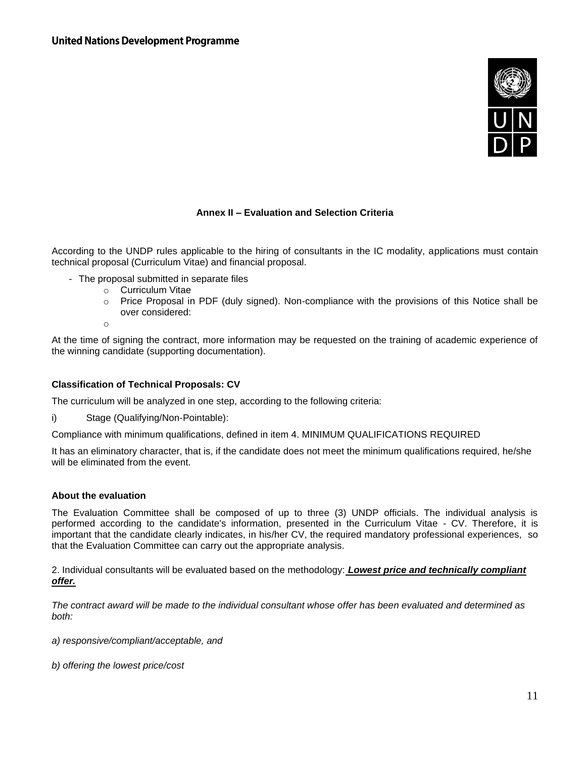

# **Annex II – Evaluation and Selection Criteria**

According to the UNDP rules applicable to the hiring of consultants in the IC modality, applications must contain technical proposal (Curriculum Vitae) and financial proposal.

- The proposal submitted in separate files
	- o Curriculum Vitae
	- $\circ$  Price Proposal in PDF (duly signed). Non-compliance with the provisions of this Notice shall be over considered:
	- o

At the time of signing the contract, more information may be requested on the training of academic experience of the winning candidate (supporting documentation).

#### **Classification of Technical Proposals: CV**

The curriculum will be analyzed in one step, according to the following criteria:

i) Stage (Qualifying/Non-Pointable):

Compliance with minimum qualifications, defined in item 4. MINIMUM QUALIFICATIONS REQUIRED

It has an eliminatory character, that is, if the candidate does not meet the minimum qualifications required, he/she will be eliminated from the event.

#### **About the evaluation**

The Evaluation Committee shall be composed of up to three (3) UNDP officials. The individual analysis is performed according to the candidate's information, presented in the Curriculum Vitae - CV. Therefore, it is important that the candidate clearly indicates, in his/her CV, the required mandatory professional experiences, so that the Evaluation Committee can carry out the appropriate analysis.

2. Individual consultants will be evaluated based on the methodology: *Lowest price and technically compliant offer.*

*The contract award will be made to the individual consultant whose offer has been evaluated and determined as both:*

*a) responsive/compliant/acceptable, and*

*b) offering the lowest price/cost*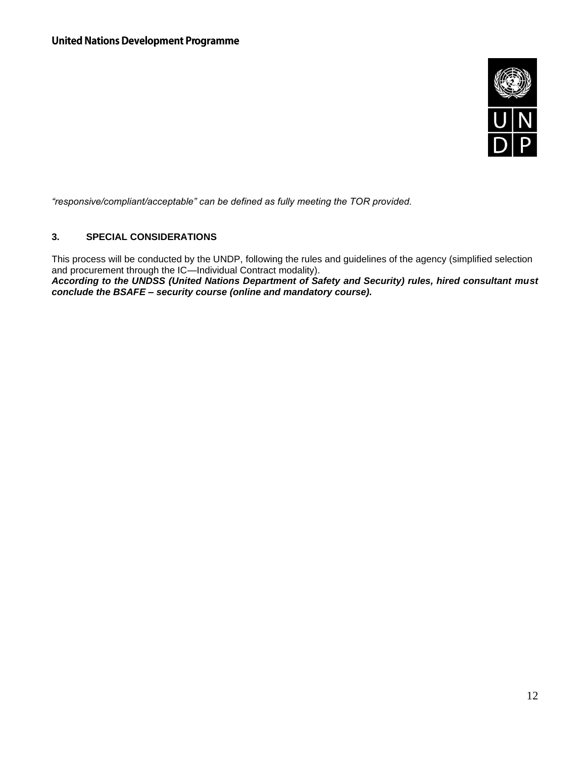

*"responsive/compliant/acceptable" can be defined as fully meeting the TOR provided.*

# **3. SPECIAL CONSIDERATIONS**

This process will be conducted by the UNDP, following the rules and guidelines of the agency (simplified selection and procurement through the IC—Individual Contract modality).

*According to the UNDSS (United Nations Department of Safety and Security) rules, hired consultant must conclude the BSAFE – security course (online and mandatory course).*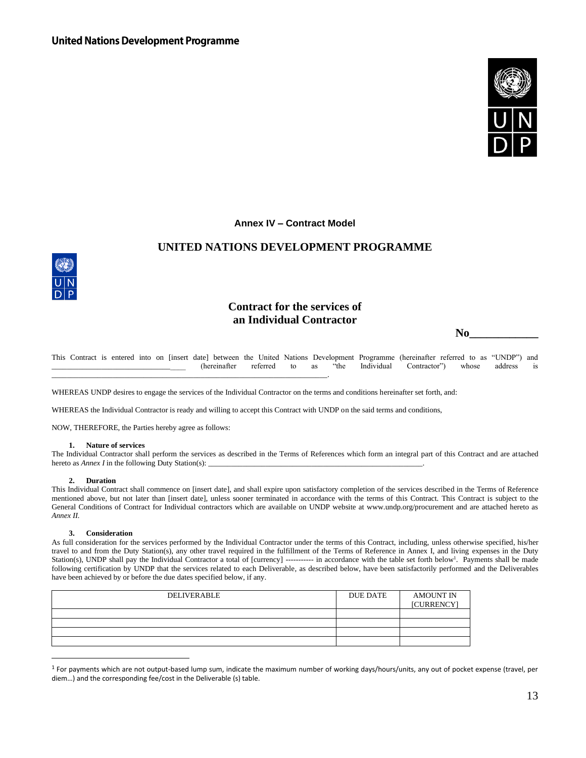

#### **Annex IV – Contract Model**

## **UNITED NATIONS DEVELOPMENT PROGRAMME**



# **Contract for the services of an Individual Contractor**

 **No\_\_\_\_\_\_\_\_\_\_\_\_**

This Contract is entered into on [insert date] between the United Nations Development Programme (hereinafter referred to as "UNDP") and \_\_\_\_\_\_\_\_\_\_\_\_\_\_\_\_\_\_\_\_\_\_\_\_\_\_\_\_\_\_\_\_\_\_\_ (hereinafter referred to as "the Individual Contractor") whose address is

WHEREAS UNDP desires to engage the services of the Individual Contractor on the terms and conditions hereinafter set forth, and:

WHEREAS the Individual Contractor is ready and willing to accept this Contract with UNDP on the said terms and conditions,

NOW, THEREFORE, the Parties hereby agree as follows:

\_\_\_\_\_\_\_\_\_\_\_\_\_\_\_\_\_\_\_\_\_\_\_\_\_\_\_\_\_\_\_\_\_\_\_\_\_\_\_\_\_\_\_\_\_\_\_\_\_\_\_\_\_\_\_\_\_\_\_\_\_\_\_\_\_\_\_\_\_\_\_\_.

#### **1. Nature of services**

The Individual Contractor shall perform the services as described in the Terms of References which form an integral part of this Contract and are attached hereto as *Annex I* in the following Duty Station(s): \_\_\_\_\_\_\_\_\_\_\_\_\_\_\_\_\_\_\_\_\_\_\_\_\_\_\_\_\_\_\_\_\_\_\_\_\_\_\_\_\_\_\_\_\_\_\_\_\_\_\_\_\_\_\_\_.

#### **2. Duration**

This Individual Contract shall commence on [insert date], and shall expire upon satisfactory completion of the services described in the Terms of Reference mentioned above, but not later than [insert date], unless sooner terminated in accordance with the terms of this Contract. This Contract is subject to the General Conditions of Contract for Individual contractors which are available on UNDP website at www.undp.org/procurement and are attached hereto as *Annex II.*

#### **3. Consideration**

As full consideration for the services performed by the Individual Contractor under the terms of this Contract, including, unless otherwise specified, his/her travel to and from the Duty Station(s), any other travel required in the fulfillment of the Terms of Reference in Annex I, and living expenses in the Duty Station(s), UNDP shall pay the Individual Contractor a total of [currency] ----------- in accordance with the table set forth below<sup>1</sup>. Payments shall be made following certification by UNDP that the services related to each Deliverable, as described below, have been satisfactorily performed and the Deliverables have been achieved by or before the due dates specified below, if any.

| <b>DELIVERABLE</b> | <b>DUE DATE</b> | <b>AMOUNT IN</b><br>[CURRENCY] |
|--------------------|-----------------|--------------------------------|
|                    |                 |                                |
|                    |                 |                                |
|                    |                 |                                |
|                    |                 |                                |

<sup>1</sup> For payments which are not output-based lump sum, indicate the maximum number of working days/hours/units, any out of pocket expense (travel, per diem…) and the corresponding fee/cost in the Deliverable (s) table.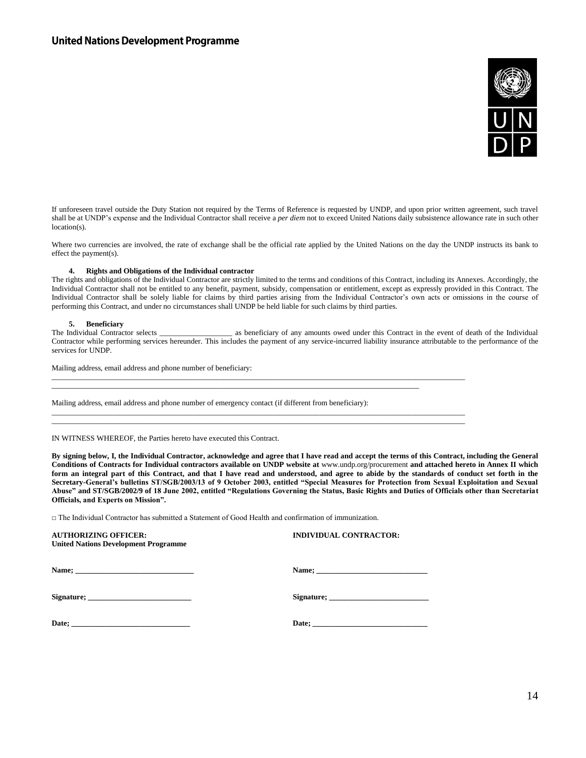

If unforeseen travel outside the Duty Station not required by the Terms of Reference is requested by UNDP, and upon prior written agreement, such travel shall be at UNDP's expense and the Individual Contractor shall receive a *per diem* not to exceed United Nations daily subsistence allowance rate in such other location(s).

Where two currencies are involved, the rate of exchange shall be the official rate applied by the United Nations on the day the UNDP instructs its bank to effect the payment(s).

#### **4. Rights and Obligations of the Individual contractor**

The rights and obligations of the Individual Contractor are strictly limited to the terms and conditions of this Contract, including its Annexes. Accordingly, the Individual Contractor shall not be entitled to any benefit, payment, subsidy, compensation or entitlement, except as expressly provided in this Contract. The Individual Contractor shall be solely liable for claims by third parties arising from the Individual Contractor's own acts or omissions in the course of performing this Contract, and under no circumstances shall UNDP be held liable for such claims by third parties.

#### **5. Beneficiary**

The Individual Contractor selects \_\_\_\_\_\_\_\_\_\_\_\_\_\_\_\_\_\_\_ as beneficiary of any amounts owed under this Contract in the event of death of the Individual Contractor while performing services hereunder. This includes the payment of any service-incurred liability insurance attributable to the performance of the services for UNDP.

\_\_\_\_\_\_\_\_\_\_\_\_\_\_\_\_\_\_\_\_\_\_\_\_\_\_\_\_\_\_\_\_\_\_\_\_\_\_\_\_\_\_\_\_\_\_\_\_\_\_\_\_\_\_\_\_\_\_\_\_\_\_\_\_\_\_\_\_\_\_\_\_\_\_\_\_\_\_\_\_\_\_\_\_\_\_\_\_\_\_\_\_\_\_\_\_\_\_\_\_\_\_\_\_\_\_\_\_

\_\_\_\_\_\_\_\_\_\_\_\_\_\_\_\_\_\_\_\_\_\_\_\_\_\_\_\_\_\_\_\_\_\_\_\_\_\_\_\_\_\_\_\_\_\_\_\_\_\_\_\_\_\_\_\_\_\_\_\_\_\_\_\_\_\_\_\_\_\_\_\_\_\_\_\_\_\_\_\_\_\_\_\_\_\_\_\_\_\_\_\_\_\_\_\_\_\_\_\_\_\_\_\_\_\_\_\_ \_\_\_\_\_\_\_\_\_\_\_\_\_\_\_\_\_\_\_\_\_\_\_\_\_\_\_\_\_\_\_\_\_\_\_\_\_\_\_\_\_\_\_\_\_\_\_\_\_\_\_\_\_\_\_\_\_\_\_\_\_\_\_\_\_\_\_\_\_\_\_\_\_\_\_\_\_\_\_\_\_\_\_\_\_\_\_\_\_\_\_\_\_\_\_\_\_\_\_\_\_\_\_\_\_\_\_\_

 $\_$  ,  $\_$  ,  $\_$  ,  $\_$  ,  $\_$  ,  $\_$  ,  $\_$  ,  $\_$  ,  $\_$  ,  $\_$  ,  $\_$  ,  $\_$  ,  $\_$  ,  $\_$  ,  $\_$  ,  $\_$  ,  $\_$  ,  $\_$  ,  $\_$  ,  $\_$  ,  $\_$  ,  $\_$  ,  $\_$  ,  $\_$  ,  $\_$  ,  $\_$  ,  $\_$  ,  $\_$  ,  $\_$  ,  $\_$  ,  $\_$  ,  $\_$  ,  $\_$  ,  $\_$  ,  $\_$  ,  $\_$  ,  $\_$  ,

Mailing address, email address and phone number of beneficiary:

Mailing address, email address and phone number of emergency contact (if different from beneficiary):

IN WITNESS WHEREOF, the Parties hereto have executed this Contract.

**By signing below, I, the Individual Contractor, acknowledge and agree that I have read and accept the terms of this Contract, including the General Conditions of Contracts for Individual contractors available on UNDP website at** www.undp.org/procurement **and attached hereto in Annex II which form an integral part of this Contract, and that I have read and understood, and agree to abide by the standards of conduct set forth in the Secretary-General's bulletins ST/SGB/2003/13 of 9 October 2003, entitled "Special Measures for Protection from Sexual Exploitation and Sexual Abuse" and ST/SGB/2002/9 of 18 June 2002, entitled "Regulations Governing the Status, Basic Rights and Duties of Officials other than Secretariat Officials, and Experts on Mission".**

□ The Individual Contractor has submitted a Statement of Good Health and confirmation of immunization.

| <b>AUTHORIZING OFFICER:</b><br><b>United Nations Development Programme</b> | <b>INDIVIDUAL CONTRACTOR:</b>                                                                                                                                                                                                  |
|----------------------------------------------------------------------------|--------------------------------------------------------------------------------------------------------------------------------------------------------------------------------------------------------------------------------|
|                                                                            |                                                                                                                                                                                                                                |
|                                                                            | Signature; expression of the state of the state of the state of the state of the state of the state of the state of the state of the state of the state of the state of the state of the state of the state of the state of th |
|                                                                            |                                                                                                                                                                                                                                |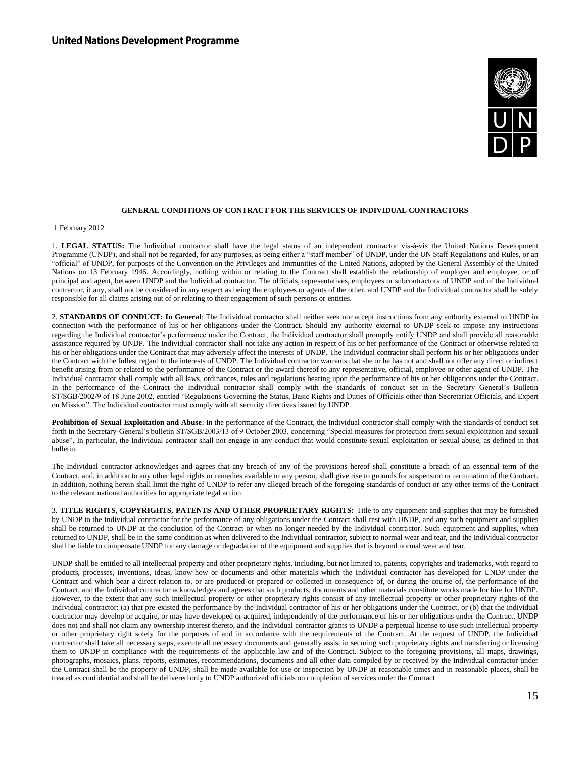

#### **GENERAL CONDITIONS OF CONTRACT FOR THE SERVICES OF INDIVIDUAL CONTRACTORS**

1 February 2012

1. **LEGAL STATUS:** The Individual contractor shall have the legal status of an independent contractor vis-à-vis the United Nations Development Programme (UNDP), and shall not be regarded, for any purposes, as being either a "staff member" of UNDP, under the UN Staff Regulations and Rules, or an "official" of UNDP, for purposes of the Convention on the Privileges and Immunities of the United Nations, adopted by the General Assembly of the United Nations on 13 February 1946. Accordingly, nothing within or relating to the Contract shall establish the relationship of employer and employee, or of principal and agent, between UNDP and the Individual contractor. The officials, representatives, employees or subcontractors of UNDP and of the Individual contractor, if any, shall not be considered in any respect as being the employees or agents of the other, and UNDP and the Individual contractor shall be solely responsible for all claims arising out of or relating to their engagement of such persons or entities.

2. **STANDARDS OF CONDUCT: In General**: The Individual contractor shall neither seek nor accept instructions from any authority external to UNDP in connection with the performance of his or her obligations under the Contract. Should any authority external to UNDP seek to impose any instructions regarding the Individual contractor's performance under the Contract, the Individual contractor shall promptly notify UNDP and shall provide all reasonable assistance required by UNDP. The Individual contractor shall not take any action in respect of his or her performance of the Contract or otherwise related to his or her obligations under the Contract that may adversely affect the interests of UNDP. The Individual contractor shall perform his or her obligations under the Contract with the fullest regard to the interests of UNDP. The Individual contractor warrants that she or he has not and shall not offer any direct or indirect benefit arising from or related to the performance of the Contract or the award thereof to any representative, official, employee or other agent of UNDP. The Individual contractor shall comply with all laws, ordinances, rules and regulations bearing upon the performance of his or her obligations under the Contract. In the performance of the Contract the Individual contractor shall comply with the standards of conduct set in the Secretary General's Bulletin ST/SGB/2002/9 of 18 June 2002, entitled "Regulations Governing the Status, Basic Rights and Duties of Officials other than Secretariat Officials, and Expert on Mission". The Individual contractor must comply with all security directives issued by UNDP.

**Prohibition of Sexual Exploitation and Abuse**: In the performance of the Contract, the Individual contractor shall comply with the standards of conduct set forth in the Secretary-General's bulletin ST/SGB/2003/13 of 9 October 2003, concerning "Special measures for protection from sexual exploitation and sexual abuse". In particular, the Individual contractor shall not engage in any conduct that would constitute sexual exploitation or sexual abuse, as defined in that bulletin.

The Individual contractor acknowledges and agrees that any breach of any of the provisions hereof shall constitute a breach of an essential term of the Contract, and, in addition to any other legal rights or remedies available to any person, shall give rise to grounds for suspension or termination of the Contract. In addition, nothing herein shall limit the right of UNDP to refer any alleged breach of the foregoing standards of conduct or any other terms of the Contract to the relevant national authorities for appropriate legal action.

3. **TITLE RIGHTS, COPYRIGHTS, PATENTS AND OTHER PROPRIETARY RIGHTS:** Title to any equipment and supplies that may be furnished by UNDP to the Individual contractor for the performance of any obligations under the Contract shall rest with UNDP, and any such equipment and supplies shall be returned to UNDP at the conclusion of the Contract or when no longer needed by the Individual contractor. Such equipment and supplies, when returned to UNDP, shall be in the same condition as when delivered to the Individual contractor, subject to normal wear and tear, and the Individual contractor shall be liable to compensate UNDP for any damage or degradation of the equipment and supplies that is beyond normal wear and tear.

UNDP shall be entitled to all intellectual property and other proprietary rights, including, but not limited to, patents, copyrights and trademarks, with regard to products, processes, inventions, ideas, know-how or documents and other materials which the Individual contractor has developed for UNDP under the Contract and which bear a direct relation to, or are produced or prepared or collected in consequence of, or during the course of, the performance of the Contract, and the Individual contractor acknowledges and agrees that such products, documents and other materials constitute works made for hire for UNDP. However, to the extent that any such intellectual property or other proprietary rights consist of any intellectual property or other proprietary rights of the Individual contractor: (a) that pre-existed the performance by the Individual contractor of his or her obligations under the Contract, or (b) that the Individual contractor may develop or acquire, or may have developed or acquired, independently of the performance of his or her obligations under the Contract, UNDP does not and shall not claim any ownership interest thereto, and the Individual contractor grants to UNDP a perpetual license to use such intellectual property or other proprietary right solely for the purposes of and in accordance with the requirements of the Contract. At the request of UNDP, the Individual contractor shall take all necessary steps, execute all necessary documents and generally assist in securing such proprietary rights and transferring or licensing them to UNDP in compliance with the requirements of the applicable law and of the Contract. Subject to the foregoing provisions, all maps, drawings, photographs, mosaics, plans, reports, estimates, recommendations, documents and all other data compiled by or received by the Individual contractor under the Contract shall be the property of UNDP, shall be made available for use or inspection by UNDP at reasonable times and in reasonable places, shall be treated as confidential and shall be delivered only to UNDP authorized officials on completion of services under the Contract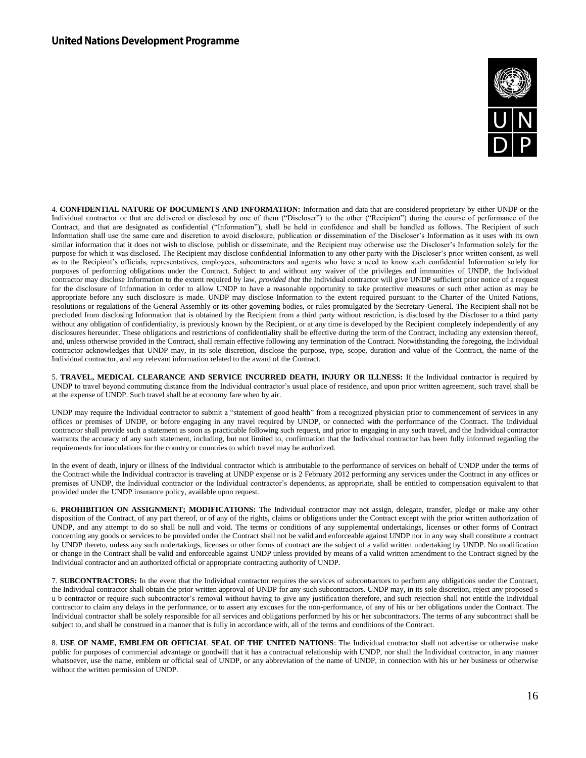

4. **CONFIDENTIAL NATURE OF DOCUMENTS AND INFORMATION:** Information and data that are considered proprietary by either UNDP or the Individual contractor or that are delivered or disclosed by one of them ("Discloser") to the other ("Recipient") during the course of performance of the Contract, and that are designated as confidential ("Information"), shall be held in confidence and shall be handled as follows. The Recipient of such Information shall use the same care and discretion to avoid disclosure, publication or dissemination of the Discloser's Information as it uses with its own similar information that it does not wish to disclose, publish or disseminate, and the Recipient may otherwise use the Discloser's Information solely for the purpose for which it was disclosed. The Recipient may disclose confidential Information to any other party with the Discloser's prior written consent, as well as to the Recipient's officials, representatives, employees, subcontractors and agents who have a need to know such confidential Information solely for purposes of performing obligations under the Contract. Subject to and without any waiver of the privileges and immunities of UNDP, the Individual contractor may disclose Information to the extent required by law, *provided that* the Individual contractor will give UNDP sufficient prior notice of a request for the disclosure of Information in order to allow UNDP to have a reasonable opportunity to take protective measures or such other action as may be appropriate before any such disclosure is made. UNDP may disclose Information to the extent required pursuant to the Charter of the United Nations, resolutions or regulations of the General Assembly or its other governing bodies, or rules promulgated by the Secretary-General. The Recipient shall not be precluded from disclosing Information that is obtained by the Recipient from a third party without restriction, is disclosed by the Discloser to a third party without any obligation of confidentiality, is previously known by the Recipient, or at any time is developed by the Recipient completely independently of any disclosures hereunder. These obligations and restrictions of confidentiality shall be effective during the term of the Contract, including any extension thereof, and, unless otherwise provided in the Contract, shall remain effective following any termination of the Contract. Notwithstanding the foregoing, the Individual contractor acknowledges that UNDP may, in its sole discretion, disclose the purpose, type, scope, duration and value of the Contract, the name of the Individual contractor, and any relevant information related to the award of the Contract.

5. **TRAVEL, MEDICAL CLEARANCE AND SERVICE INCURRED DEATH, INJURY OR ILLNESS:** If the Individual contractor is required by UNDP to travel beyond commuting distance from the Individual contractor's usual place of residence, and upon prior written agreement, such travel shall be at the expense of UNDP. Such travel shall be at economy fare when by air.

UNDP may require the Individual contractor to submit a "statement of good health" from a recognized physician prior to commencement of services in any offices or premises of UNDP, or before engaging in any travel required by UNDP, or connected with the performance of the Contract. The Individual contractor shall provide such a statement as soon as practicable following such request, and prior to engaging in any such travel, and the Individual contractor warrants the accuracy of any such statement, including, but not limited to, confirmation that the Individual contractor has been fully informed regarding the requirements for inoculations for the country or countries to which travel may be authorized.

In the event of death, injury or illness of the Individual contractor which is attributable to the performance of services on behalf of UNDP under the terms of the Contract while the Individual contractor is traveling at UNDP expense or is 2 February 2012 performing any services under the Contract in any offices or premises of UNDP, the Individual contractor or the Individual contractor's dependents, as appropriate, shall be entitled to compensation equivalent to that provided under the UNDP insurance policy, available upon request.

6. **PROHIBITION ON ASSIGNMENT; MODIFICATIONS:** The Individual contractor may not assign, delegate, transfer, pledge or make any other disposition of the Contract, of any part thereof, or of any of the rights, claims or obligations under the Contract except with the prior written authorization of UNDP, and any attempt to do so shall be null and void. The terms or conditions of any supplemental undertakings, licenses or other forms of Contract concerning any goods or services to be provided under the Contract shall not be valid and enforceable against UNDP nor in any way shall constitute a contract by UNDP thereto, unless any such undertakings, licenses or other forms of contract are the subject of a valid written undertaking by UNDP. No modification or change in the Contract shall be valid and enforceable against UNDP unless provided by means of a valid written amendment to the Contract signed by the Individual contractor and an authorized official or appropriate contracting authority of UNDP.

7. **SUBCONTRACTORS:** In the event that the Individual contractor requires the services of subcontractors to perform any obligations under the Contract, the Individual contractor shall obtain the prior written approval of UNDP for any such subcontractors. UNDP may, in its sole discretion, reject any proposed s u b contractor or require such subcontractor's removal without having to give any justification therefore, and such rejection shall not entitle the Individual contractor to claim any delays in the performance, or to assert any excuses for the non-performance, of any of his or her obligations under the Contract. The Individual contractor shall be solely responsible for all services and obligations performed by his or her subcontractors. The terms of any subcontract shall be subject to, and shall be construed in a manner that is fully in accordance with, all of the terms and conditions of the Contract.

8. **USE OF NAME, EMBLEM OR OFFICIAL SEAL OF THE UNITED NATIONS**: The Individual contractor shall not advertise or otherwise make public for purposes of commercial advantage or goodwill that it has a contractual relationship with UNDP, nor shall the Individual contractor, in any manner whatsoever, use the name, emblem or official seal of UNDP, or any abbreviation of the name of UNDP, in connection with his or her business or otherwise without the written permission of UNDP.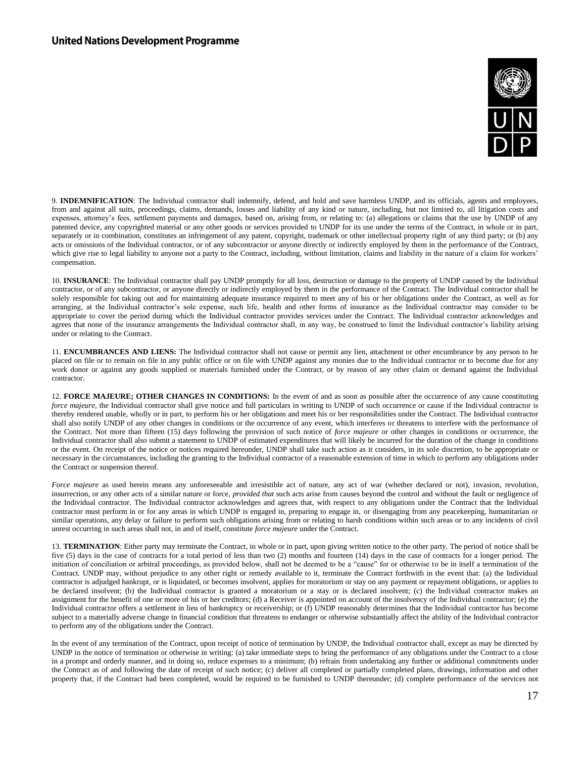

9. **INDEMNIFICATION**: The Individual contractor shall indemnify, defend, and hold and save harmless UNDP, and its officials, agents and employees, from and against all suits, proceedings, claims, demands, losses and liability of any kind or nature, including, but not limited to, all litigation costs and expenses, attorney's fees, settlement payments and damages, based on, arising from, or relating to: (a) allegations or claims that the use by UNDP of any patented device, any copyrighted material or any other goods or services provided to UNDP for its use under the terms of the Contract, in whole or in part, separately or in combination, constitutes an infringement of any patent, copyright, trademark or other intellectual property right of any third party; or (b) any acts or omissions of the Individual contractor, or of any subcontractor or anyone directly or indirectly employed by them in the performance of the Contract, which give rise to legal liability to anyone not a party to the Contract, including, without limitation, claims and liability in the nature of a claim for workers' compensation.

10. **INSURANCE**: The Individual contractor shall pay UNDP promptly for all loss, destruction or damage to the property of UNDP caused by the Individual contractor, or of any subcontractor, or anyone directly or indirectly employed by them in the performance of the Contract. The Individual contractor shall be solely responsible for taking out and for maintaining adequate insurance required to meet any of his or her obligations under the Contract, as well as for arranging, at the Individual contractor's sole expense, such life, health and other forms of insurance as the Individual contractor may consider to be appropriate to cover the period during which the Individual contractor provides services under the Contract. The Individual contractor acknowledges and agrees that none of the insurance arrangements the Individual contractor shall, in any way, be construed to limit the Individual contractor's liability arising under or relating to the Contract.

11. **ENCUMBRANCES AND LIENS:** The Individual contractor shall not cause or permit any lien, attachment or other encumbrance by any person to be placed on file or to remain on file in any public office or on file with UNDP against any monies due to the Individual contractor or to become due for any work donor or against any goods supplied or materials furnished under the Contract, or by reason of any other claim or demand against the Individual contractor.

12. **FORCE MAJEURE; OTHER CHANGES IN CONDITIONS:** In the event of and as soon as possible after the occurrence of any cause constituting *force majeure*, the Individual contractor shall give notice and full particulars in writing to UNDP of such occurrence or cause if the Individual contractor is thereby rendered unable, wholly or in part, to perform his or her obligations and meet his or her responsibilities under the Contract. The Individual contractor shall also notify UNDP of any other changes in conditions or the occurrence of any event, which interferes or threatens to interfere with the performance of the Contract. Not more than fifteen (15) days following the provision of such notice of *force majeure* or other changes in conditions or occurrence, the Individual contractor shall also submit a statement to UNDP of estimated expenditures that will likely be incurred for the duration of the change in conditions or the event. On receipt of the notice or notices required hereunder, UNDP shall take such action as it considers, in its sole discretion, to be appropriate or necessary in the circumstances, including the granting to the Individual contractor of a reasonable extension of time in which to perform any obligations under the Contract or suspension thereof.

*Force majeure* as used herein means any unforeseeable and irresistible act of nature, any act of war (whether declared or not), invasion, revolution, insurrection, or any other acts of a similar nature or force, *provided that* such acts arise from causes beyond the control and without the fault or negligence of the Individual contractor. The Individual contractor acknowledges and agrees that, with respect to any obligations under the Contract that the Individual contractor must perform in or for any areas in which UNDP is engaged in, preparing to engage in, or disengaging from any peacekeeping, humanitarian or similar operations, any delay or failure to perform such obligations arising from or relating to harsh conditions within such areas or to any incidents of civil unrest occurring in such areas shall not, in and of itself, constitute *force majeure* under the Contract.

13. **TERMINATION**: Either party may terminate the Contract, in whole or in part, upon giving written notice to the other party. The period of notice shall be five (5) days in the case of contracts for a total period of less than two (2) months and fourteen (14) days in the case of contracts for a longer period. The initiation of conciliation or arbitral proceedings, as provided below, shall not be deemed to be a "cause" for or otherwise to be in itself a termination of the Contract. UNDP may, without prejudice to any other right or remedy available to it, terminate the Contract forthwith in the event that: (a) the Individual contractor is adjudged bankrupt, or is liquidated, or becomes insolvent, applies for moratorium or stay on any payment or repayment obligations, or applies to be declared insolvent; (b) the Individual contractor is granted a moratorium or a stay or is declared insolvent; (c) the Individual contractor makes an assignment for the benefit of one or more of his or her creditors; (d) a Receiver is appointed on account of the insolvency of the Individual contractor; (e) the Individual contractor offers a settlement in lieu of bankruptcy or receivership; or (f) UNDP reasonably determines that the Individual contractor has become subject to a materially adverse change in financial condition that threatens to endanger or otherwise substantially affect the ability of the Individual contractor to perform any of the obligations under the Contract.

In the event of any termination of the Contract, upon receipt of notice of termination by UNDP, the Individual contractor shall, except as may be directed by UNDP in the notice of termination or otherwise in writing: (a) take immediate steps to bring the performance of any obligations under the Contract to a close in a prompt and orderly manner, and in doing so, reduce expenses to a minimum; (b) refrain from undertaking any further or additional commitments under the Contract as of and following the date of receipt of such notice; (c) deliver all completed or partially completed plans, drawings, information and other property that, if the Contract had been completed, would be required to be furnished to UNDP thereunder; (d) complete performance of the services not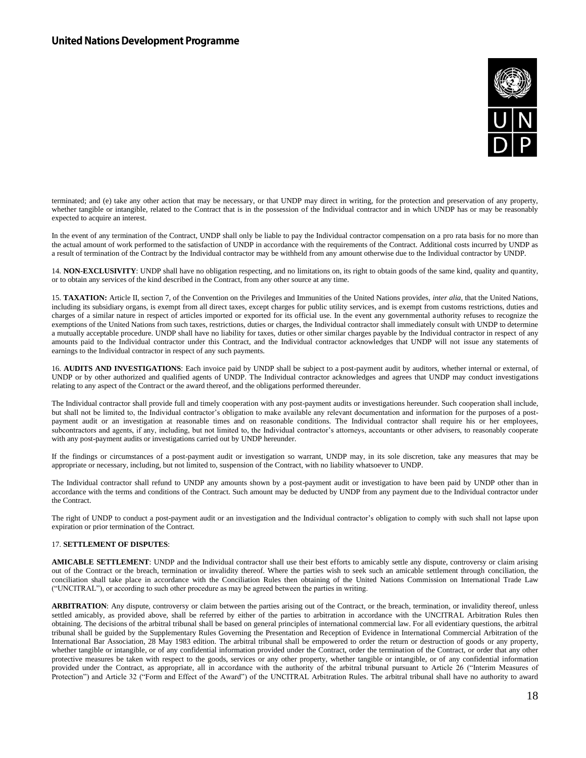

terminated; and (e) take any other action that may be necessary, or that UNDP may direct in writing, for the protection and preservation of any property, whether tangible or intangible, related to the Contract that is in the possession of the Individual contractor and in which UNDP has or may be reasonably expected to acquire an interest.

In the event of any termination of the Contract, UNDP shall only be liable to pay the Individual contractor compensation on a pro rata basis for no more than the actual amount of work performed to the satisfaction of UNDP in accordance with the requirements of the Contract. Additional costs incurred by UNDP as a result of termination of the Contract by the Individual contractor may be withheld from any amount otherwise due to the Individual contractor by UNDP.

14. **NON-EXCLUSIVITY**: UNDP shall have no obligation respecting, and no limitations on, its right to obtain goods of the same kind, quality and quantity, or to obtain any services of the kind described in the Contract, from any other source at any time.

15. **TAXATION:** Article II, section 7, of the Convention on the Privileges and Immunities of the United Nations provides, *inter alia*, that the United Nations, including its subsidiary organs, is exempt from all direct taxes, except charges for public utility services, and is exempt from customs restrictions, duties and charges of a similar nature in respect of articles imported or exported for its official use. In the event any governmental authority refuses to recognize the exemptions of the United Nations from such taxes, restrictions, duties or charges, the Individual contractor shall immediately consult with UNDP to determine a mutually acceptable procedure. UNDP shall have no liability for taxes, duties or other similar charges payable by the Individual contractor in respect of any amounts paid to the Individual contractor under this Contract, and the Individual contractor acknowledges that UNDP will not issue any statements of earnings to the Individual contractor in respect of any such payments.

16. **AUDITS AND INVESTIGATIONS**: Each invoice paid by UNDP shall be subject to a post-payment audit by auditors, whether internal or external, of UNDP or by other authorized and qualified agents of UNDP. The Individual contractor acknowledges and agrees that UNDP may conduct investigations relating to any aspect of the Contract or the award thereof, and the obligations performed thereunder.

The Individual contractor shall provide full and timely cooperation with any post-payment audits or investigations hereunder. Such cooperation shall include, but shall not be limited to, the Individual contractor's obligation to make available any relevant documentation and information for the purposes of a postpayment audit or an investigation at reasonable times and on reasonable conditions. The Individual contractor shall require his or her employees, subcontractors and agents, if any, including, but not limited to, the Individual contractor's attorneys, accountants or other advisers, to reasonably cooperate with any post-payment audits or investigations carried out by UNDP hereunder.

If the findings or circumstances of a post-payment audit or investigation so warrant, UNDP may, in its sole discretion, take any measures that may be appropriate or necessary, including, but not limited to, suspension of the Contract, with no liability whatsoever to UNDP.

The Individual contractor shall refund to UNDP any amounts shown by a post-payment audit or investigation to have been paid by UNDP other than in accordance with the terms and conditions of the Contract. Such amount may be deducted by UNDP from any payment due to the Individual contractor under the Contract.

The right of UNDP to conduct a post-payment audit or an investigation and the Individual contractor's obligation to comply with such shall not lapse upon expiration or prior termination of the Contract.

#### 17. **SETTLEMENT OF DISPUTES**:

**AMICABLE SETTLEMENT**: UNDP and the Individual contractor shall use their best efforts to amicably settle any dispute, controversy or claim arising out of the Contract or the breach, termination or invalidity thereof. Where the parties wish to seek such an amicable settlement through conciliation, the conciliation shall take place in accordance with the Conciliation Rules then obtaining of the United Nations Commission on International Trade Law ("UNCITRAL"), or according to such other procedure as may be agreed between the parties in writing.

ARBITRATION: Any dispute, controversy or claim between the parties arising out of the Contract, or the breach, termination, or invalidity thereof, unless settled amicably, as provided above, shall be referred by either of the parties to arbitration in accordance with the UNCITRAL Arbitration Rules then obtaining. The decisions of the arbitral tribunal shall be based on general principles of international commercial law. For all evidentiary questions, the arbitral tribunal shall be guided by the Supplementary Rules Governing the Presentation and Reception of Evidence in International Commercial Arbitration of the International Bar Association, 28 May 1983 edition. The arbitral tribunal shall be empowered to order the return or destruction of goods or any property, whether tangible or intangible, or of any confidential information provided under the Contract, order the termination of the Contract, or order that any other protective measures be taken with respect to the goods, services or any other property, whether tangible or intangible, or of any confidential information provided under the Contract, as appropriate, all in accordance with the authority of the arbitral tribunal pursuant to Article 26 ("Interim Measures of Protection") and Article 32 ("Form and Effect of the Award") of the UNCITRAL Arbitration Rules. The arbitral tribunal shall have no authority to award